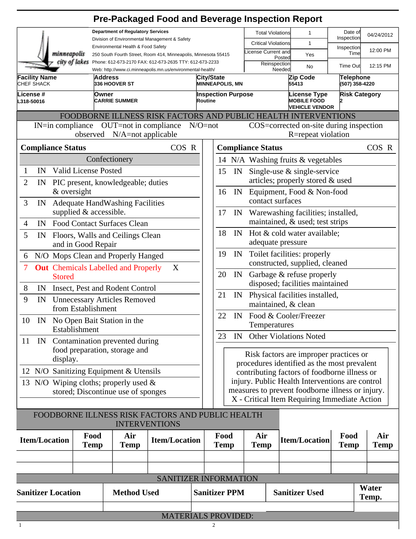|                                                          |                                                           |                                          | <b>Pre-Packaged Food and Beverage Inspection Report</b>         |             |                           |    |                          |                              |                                                                                       |                          |                |
|----------------------------------------------------------|-----------------------------------------------------------|------------------------------------------|-----------------------------------------------------------------|-------------|---------------------------|----|--------------------------|------------------------------|---------------------------------------------------------------------------------------|--------------------------|----------------|
|                                                          |                                                           | <b>Department of Regulatory Services</b> |                                                                 |             |                           |    |                          | <b>Total Violations</b>      | 1                                                                                     | Date of                  | 04/24/2012     |
|                                                          |                                                           | Environmental Health & Food Safety       | Division of Environmental Management & Safety                   |             |                           |    |                          | <b>Critical Violations</b>   | $\mathbf{1}$                                                                          | Inspection<br>Inspection |                |
| minneapolis                                              |                                                           |                                          | 250 South Fourth Street, Room 414, Minneapolis, Minnesota 55415 |             |                           |    |                          | icense Current and<br>Posted | Yes                                                                                   | Time                     | 12:00 PM       |
| city of lakes                                            |                                                           |                                          | Phone: 612-673-2170 FAX: 612-673-2635 TTY: 612-673-2233         |             |                           |    |                          | Reinspection<br>Needed       | No                                                                                    | Time Out                 | 12:15 PM       |
| <b>Facility Name</b>                                     | Address                                                   |                                          | Web: http://www.ci.minneapolis.mn.us/environmental-health/      | City/State  |                           |    |                          |                              | Zip Code                                                                              | Telephone                |                |
| <b>CHEF SHACK</b>                                        | 336 HOOVER ST                                             |                                          |                                                                 |             | <b>MINNEAPOLIS, MN</b>    |    |                          |                              | 55413                                                                                 | (507) 358-4220           |                |
| License #<br>L318-50016                                  | Owner<br><b>CARRIE SUMMER</b>                             |                                          |                                                                 | Routine     | <b>Inspection Purpose</b> |    |                          |                              | <b>License Type</b><br><b>MOBILE FOOD</b>                                             | <b>Risk Category</b>     |                |
|                                                          |                                                           |                                          | FOODBORNE ILLNESS RISK FACTORS AND PUBLIC HEALTH INTERVENTIONS  |             |                           |    |                          |                              | <b>VEHICLE VENDOR</b>                                                                 |                          |                |
| $IN=\infty$ in compliance $OUT=\text{not}$ in compliance |                                                           |                                          |                                                                 | $N/O = not$ |                           |    |                          |                              | COS=corrected on-site during inspection                                               |                          |                |
|                                                          | observed N/A=not applicable                               |                                          |                                                                 |             |                           |    |                          |                              | R=repeat violation                                                                    |                          |                |
| <b>Compliance Status</b>                                 |                                                           |                                          | COS R                                                           |             |                           |    | <b>Compliance Status</b> |                              |                                                                                       |                          | COS R          |
|                                                          | Confectionery                                             |                                          |                                                                 |             |                           |    |                          |                              | 14 N/A Washing fruits & vegetables                                                    |                          |                |
| IN<br>$\mathbf{1}$                                       | <b>Valid License Posted</b>                               |                                          |                                                                 |             | 15                        | IN |                          |                              | Single-use $\&$ single-service                                                        |                          |                |
| $\overline{2}$<br>IN                                     | PIC present, knowledgeable; duties                        |                                          |                                                                 |             |                           |    |                          |                              | articles; properly stored & used                                                      |                          |                |
| & oversight                                              |                                                           |                                          |                                                                 |             | 16                        | IN |                          |                              | Equipment, Food & Non-food                                                            |                          |                |
| 3<br>IN                                                  | <b>Adequate HandWashing Facilities</b>                    |                                          |                                                                 |             |                           |    |                          | contact surfaces             |                                                                                       |                          |                |
|                                                          | supplied & accessible.                                    |                                          |                                                                 |             | 17                        | IN |                          |                              | Warewashing facilities; installed,                                                    |                          |                |
| 4<br>IN                                                  | <b>Food Contact Surfaces Clean</b>                        |                                          |                                                                 |             |                           |    |                          |                              | maintained, & used; test strips                                                       |                          |                |
| 5<br>IN                                                  | Floors, Walls and Ceilings Clean                          |                                          |                                                                 |             | 18                        | IN |                          |                              | Hot & cold water available;                                                           |                          |                |
|                                                          | and in Good Repair                                        |                                          |                                                                 |             |                           |    |                          |                              | adequate pressure                                                                     |                          |                |
| N/O Mops Clean and Properly Hanged<br>6                  |                                                           |                                          |                                                                 |             | 19                        | IN |                          |                              | Toilet facilities: properly<br>constructed, supplied, cleaned                         |                          |                |
| 7<br><b>Out</b> Chemicals Labelled and Properly          |                                                           |                                          | X                                                               |             | 20                        | IN |                          |                              | Garbage & refuse properly                                                             |                          |                |
| <b>Stored</b>                                            |                                                           |                                          |                                                                 |             |                           |    |                          |                              | disposed; facilities maintained                                                       |                          |                |
| 8<br>IN                                                  | Insect, Pest and Rodent Control                           |                                          |                                                                 |             | 21                        | IN |                          |                              | Physical facilities installed,                                                        |                          |                |
| 9<br>IN                                                  | <b>Unnecessary Articles Removed</b><br>from Establishment |                                          |                                                                 |             |                           |    |                          |                              | maintained, & clean                                                                   |                          |                |
| 10<br>IN No Open Bait Station in the                     |                                                           |                                          |                                                                 |             | 22                        |    |                          |                              | IN Food & Cooler/Freezer                                                              |                          |                |
| Establishment                                            |                                                           |                                          |                                                                 |             |                           |    |                          | Temperatures                 |                                                                                       |                          |                |
| 11<br>IN Contamination prevented during                  |                                                           |                                          |                                                                 |             | 23                        | IN |                          |                              | <b>Other Violations Noted</b>                                                         |                          |                |
|                                                          | food preparation, storage and                             |                                          |                                                                 |             |                           |    |                          |                              |                                                                                       |                          |                |
| display.                                                 |                                                           |                                          |                                                                 |             |                           |    |                          |                              | Risk factors are improper practices or<br>procedures identified as the most prevalent |                          |                |
| 12 N/O Sanitizing Equipment & Utensils                   |                                                           |                                          |                                                                 |             |                           |    |                          |                              | contributing factors of foodborne illness or                                          |                          |                |
| 13 N/O Wiping cloths; properly used &                    |                                                           |                                          |                                                                 |             |                           |    |                          |                              | injury. Public Health Interventions are control                                       |                          |                |
|                                                          | stored; Discontinue use of sponges                        |                                          |                                                                 |             |                           |    |                          |                              | measures to prevent foodborne illness or injury.                                      |                          |                |
|                                                          |                                                           |                                          |                                                                 |             |                           |    |                          |                              | X - Critical Item Requiring Immediate Action                                          |                          |                |
| FOODBORNE ILLNESS RISK FACTORS AND PUBLIC HEALTH         |                                                           |                                          | <b>INTERVENTIONS</b>                                            |             |                           |    |                          |                              |                                                                                       |                          |                |
|                                                          | Food                                                      | Air                                      |                                                                 |             | Food                      |    | Air                      |                              |                                                                                       | Food                     | Air            |
| <b>Item/Location</b>                                     | <b>Temp</b>                                               | <b>Temp</b>                              | <b>Item/Location</b>                                            |             | <b>Temp</b>               |    | <b>Temp</b>              |                              | <b>Item/Location</b>                                                                  | <b>Temp</b>              | Temp           |
|                                                          |                                                           |                                          |                                                                 |             |                           |    |                          |                              |                                                                                       |                          |                |
|                                                          |                                                           |                                          |                                                                 |             |                           |    |                          |                              |                                                                                       |                          |                |
|                                                          |                                                           |                                          | SANITIZER INFORMATION                                           |             |                           |    |                          |                              |                                                                                       |                          |                |
| <b>Sanitizer Location</b>                                |                                                           | <b>Method Used</b>                       |                                                                 |             | <b>Sanitizer PPM</b>      |    |                          |                              | <b>Sanitizer Used</b>                                                                 |                          | Water<br>Temp. |

| <b>MATERIALS PROVIDED:</b> |  |
|----------------------------|--|
|                            |  |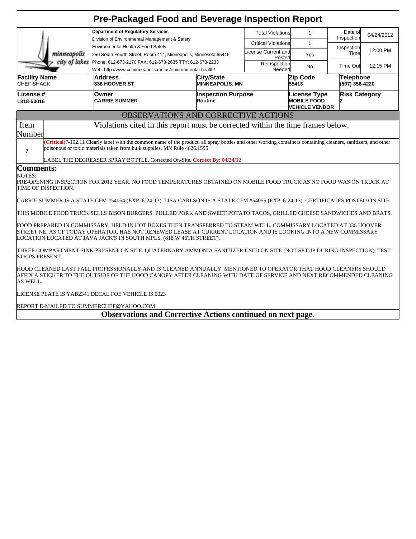|                                    |                     |                                                                                                                                                                                                                                                                                                                                                                                                                                                                                                                                                                                                                          | <b>Pre-Packaged Food and Beverage Inspection Report</b>                         |  |                                                   |                                                                    |                                    |            |
|------------------------------------|---------------------|--------------------------------------------------------------------------------------------------------------------------------------------------------------------------------------------------------------------------------------------------------------------------------------------------------------------------------------------------------------------------------------------------------------------------------------------------------------------------------------------------------------------------------------------------------------------------------------------------------------------------|---------------------------------------------------------------------------------|--|---------------------------------------------------|--------------------------------------------------------------------|------------------------------------|------------|
|                                    |                     | <b>Department of Regulatory Services</b><br>Division of Environmental Management & Safety                                                                                                                                                                                                                                                                                                                                                                                                                                                                                                                                |                                                                                 |  | <b>Total Violations</b>                           | 1                                                                  | Date of<br>Inspection              | 04/24/2012 |
|                                    | minneapolis         | Environmental Health & Food Safety<br>250 South Fourth Street, Room 414, Minneapolis, Minnesota 55415                                                                                                                                                                                                                                                                                                                                                                                                                                                                                                                    |                                                                                 |  | <b>Critical Violations</b><br>License Current and | $\mathbf{1}$<br>Yes                                                | Inspection<br>Time                 | 12:00 PM   |
|                                    | city of lakes       | Phone: 612-673-2170 FAX: 612-673-2635 TTY: 612-673-2233<br>Web: http://www.ci.minneapolis.mn.us/environmental-health/                                                                                                                                                                                                                                                                                                                                                                                                                                                                                                    |                                                                                 |  | Posted<br>Reinspection<br>Needed                  | <b>No</b>                                                          | <b>Time Out</b>                    | 12:15 PM   |
| <b>Facility Name</b><br>CHEF SHACK |                     | <b>Address</b><br>336 HOOVER ST                                                                                                                                                                                                                                                                                                                                                                                                                                                                                                                                                                                          | <b>City/State</b><br><b>MINNEAPOLIS, MN</b>                                     |  |                                                   | Zip Code<br>55413                                                  | <b>Telephone</b><br>(507) 358-4220 |            |
| License #<br>L318-50016            |                     | <b>Owner</b><br><b>CARRIE SUMMER</b>                                                                                                                                                                                                                                                                                                                                                                                                                                                                                                                                                                                     | <b>Inspection Purpose</b><br>Routine                                            |  |                                                   | <b>License Type</b><br><b>MOBILE FOOD</b><br><b>VEHICLE VENDOR</b> | <b>Risk Category</b>               |            |
|                                    |                     |                                                                                                                                                                                                                                                                                                                                                                                                                                                                                                                                                                                                                          | OBSERVATIONS AND CORRECTIVE ACTIONS                                             |  |                                                   |                                                                    |                                    |            |
| Item<br>Number                     |                     |                                                                                                                                                                                                                                                                                                                                                                                                                                                                                                                                                                                                                          | Violations cited in this report must be corrected within the time frames below. |  |                                                   |                                                                    |                                    |            |
| $\overline{7}$                     |                     | (Critical)7-102.11 Clearly label with the common name of the product, all spray bottles and other working containers containing cleaners, sanitizers, and other<br>poisonous or toxic materials taken from bulk supplies. MN Rule 4626.1595<br>LABEL THE DEGREASER SPRAY BOTTLE. Corrected On-Site. Correct By: 04/24/12                                                                                                                                                                                                                                                                                                 |                                                                                 |  |                                                   |                                                                    |                                    |            |
| Comments:<br><b>NOTES:</b>         | TIME OF INSPECTION. | PRE-OPENING INSPECTION FOR 2012 YEAR. NO FOOD TEMPERATURES OBTAINED ON MOBILE FOOD TRUCK AS NO FOOD WAS ON TRUCK AT<br>CARRIE SUMMER IS A STATE CFM #54054 (EXP. 6-24-13). LISA CARLSON IS A STATE CFM #54055 (EXP. 6-24-13). CERTIFICATES POSTED ON SITE.<br>THIS MOBILE FOOD TRUCK SELLS BISON BURGERS, PULLED PORK AND SWEET POTATO TACOS, GRILLED CHEESE SANDWICHES AND BRATS.<br>FOOD PREPARED IN COMMISSARY, HELD IN HOT BOXES THEN TRANSFERRED TO STEAM WELL. COMMISSARY LOCATED AT 336 HOOVER<br>STREET NE. AS OF TODAY OPERATOR, HAS NOT RENEWED LEASE AT CURRENT LOCATION AND IS LOOKING INTO A NEW COMMISSARY |                                                                                 |  |                                                   |                                                                    |                                    |            |
| <b>STRIPS PRESENT.</b>             |                     | LOCATION LOCATED AT JAVA JACK'S IN SOUTH MPLS. (818 W 46TH STREET).<br>THREE COMPARTMENT SINK PRESENT ON SITE. QUATERNARY AMMONIA SANITIZER USED ON SITE (NOT SETUP DURING INSPECTION). TEST                                                                                                                                                                                                                                                                                                                                                                                                                             |                                                                                 |  |                                                   |                                                                    |                                    |            |
| AS WELL.                           |                     | [HOOD CLEANED LAST FALL PROFESSIONALLY AND IS CLEANED ANNUALLY. MENTIONED TO OPERATOR THAT HOOD CLEANERS SHOULD<br>AFFIX A STICKER TO THE OUTSIDE OF THE HOOD CANOPY AFTER CLEANING WITH DATE OF SERVICE AND NEXT RECOMMENDED CLEANING                                                                                                                                                                                                                                                                                                                                                                                   |                                                                                 |  |                                                   |                                                                    |                                    |            |
|                                    |                     | LICENSE PLATE IS YAB2341 DECAL FOE VEHICLE IS 0023                                                                                                                                                                                                                                                                                                                                                                                                                                                                                                                                                                       |                                                                                 |  |                                                   |                                                                    |                                    |            |
|                                    |                     | REPORT E-MAILED TO SUMMERCHEF@YAHOO.COM                                                                                                                                                                                                                                                                                                                                                                                                                                                                                                                                                                                  |                                                                                 |  |                                                   |                                                                    |                                    |            |

**Observations and Corrective Actions continued on next page.**